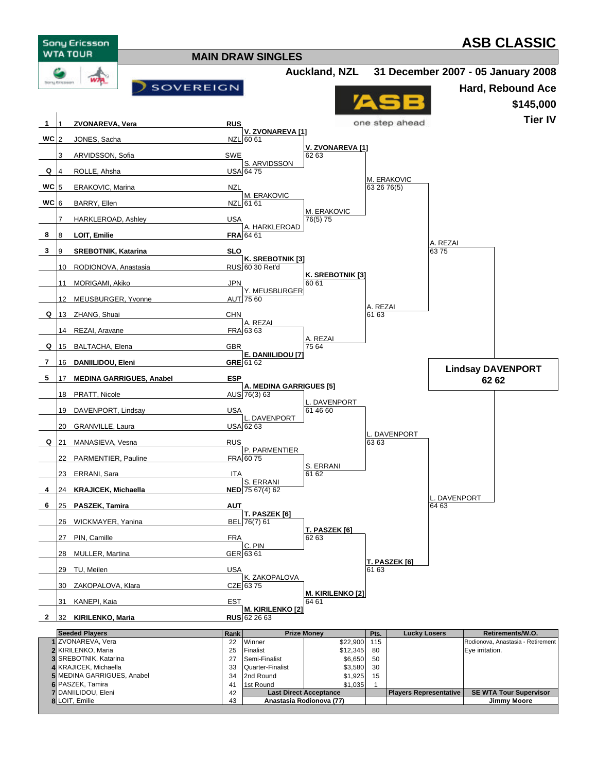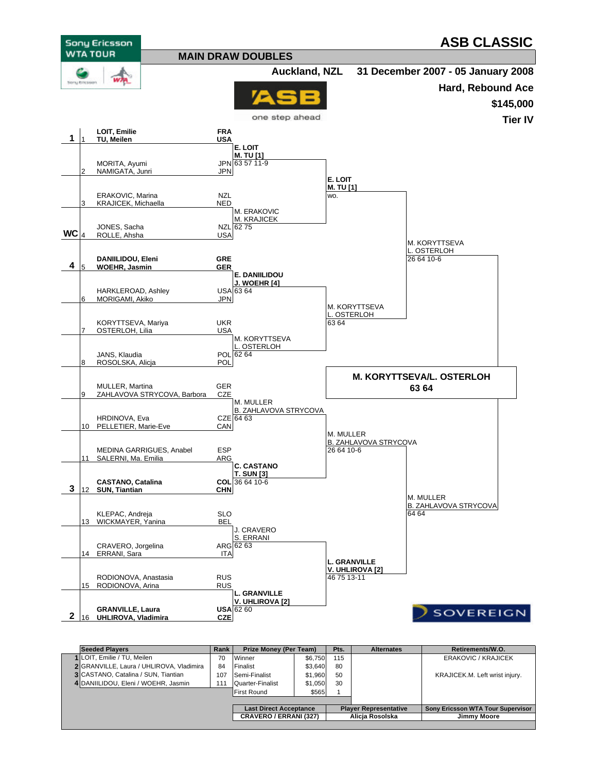

| <b>Seeded Plavers</b>                      | Rank | <b>Prize Money (Per Team)</b> |         | Pts.            | <b>Alternates</b>            | Retirements/W.O.                         |
|--------------------------------------------|------|-------------------------------|---------|-----------------|------------------------------|------------------------------------------|
| 1 LOIT. Emilie / TU. Meilen                | 70   | Winner                        | \$6,750 | 115             |                              | ERAKOVIC / KRAJICEK                      |
| 2 GRANVILLE, Laura / UHLIROVA, Vladimira   | 84   | Finalist                      | \$3.640 | 80              |                              |                                          |
| <b>3 CASTANO, Catalina / SUN, Tiantian</b> | 107  | Semi-Finalist                 | \$1,960 | 50              |                              | KRAJICEK.M. Left wrist injury.           |
| 4 DANIILIDOU, Eleni / WOEHR, Jasmin        | 11   | Quarter-Finalist              | \$1.050 | 30              |                              |                                          |
|                                            |      | <b>First Round</b>            | \$565   |                 |                              |                                          |
|                                            |      |                               |         |                 |                              |                                          |
|                                            |      | <b>Last Direct Acceptance</b> |         |                 | <b>Player Representative</b> | <b>Sony Ericsson WTA Tour Supervisor</b> |
|                                            |      | <b>CRAVERO / ERRANI (327)</b> |         | Alicia Rosolska |                              | Jimmy Moore                              |
|                                            |      |                               |         |                 |                              |                                          |